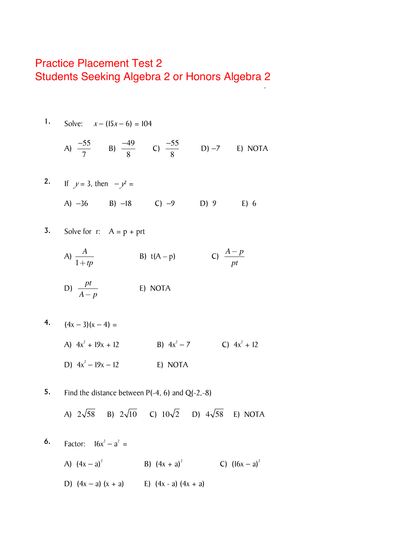## **Practice Placement Test 2** *Multiple Choice Use the answer "NOTA" (which stands for None Of The Above) if the answer is not listed*  Students Seeking Algebra 2 or Honors Algebra 2

1. Solve: 
$$
x - (15x - 6) = 104
$$

A) 
$$
\frac{-55}{7}
$$
 B)  $\frac{-49}{8}$  C)  $\frac{-55}{8}$  D) -7 E) NOTA

2. If 
$$
y = 3
$$
, then  $-y^2 =$   
A) -36 B) -18 C) -9 D) 9 E) 6

3. Solve for r: 
$$
A = p + prt
$$

A) 
$$
\frac{A}{1+tp}
$$
 \t B)  $t(A-p)$  \t C)  $\frac{A-p}{pt}$ 

D) 
$$
\frac{pt}{A-p}
$$
 E) NOTA

$$
4. \qquad (4x-3)(x-4) =
$$

- A)  $4x^2 + 19x + 12$  B)  $4x^2 7$  C)  $4x^2 + 12$ D)  $4x^2 - 19x - 12$ E) NOTA
- 5. Find the distance between  $P(-4, 6)$  and  $Q(-2, -8)$ A)  $2\sqrt{58}$  B)  $2\sqrt{10}$  C)  $10\sqrt{2}$  D)  $4\sqrt{58}$  E) NOTA
- 6. Factor:  $16x^2 a^2 =$ A)  $(4x - a)^2$  B)  $(4x + a)^2$  C)  $(16x - a)^2$ D)  $(4x - a) (x + a)$  E)  $(4x - a) (4x + a)$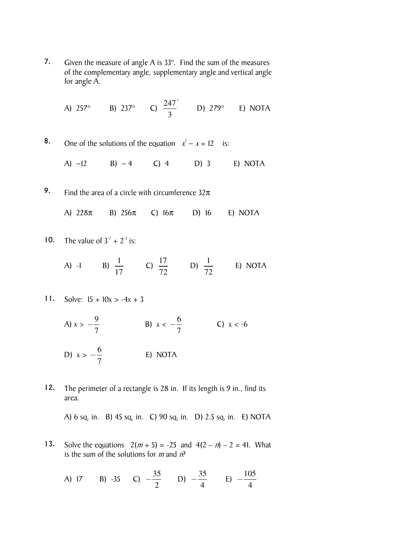7. Given the measure of angle A is 33º. Find the sum of the measures of the complementary angle, supplementary angle and vertical angle for angle A.

A) 257°   B) 237°   C) 
$$
\frac{247°}{3}
$$
   D) 279°   E) NOTA

8. One of the solutions of the equation  $x^2 - x = 12$  is:

A) −12 B) − 4 C) 4 D) 3 E) NOTA

9. Find the area of a circle with circumference  $32\pi$ 

A)  $228\pi$  B)  $256\pi$  C)  $16\pi$  D) 16 E) NOTA

10. The value of  $3^2 + 2^3$  is:

A) -I B) 
$$
\frac{1}{17}
$$
 C)  $\frac{17}{72}$  D)  $\frac{1}{72}$  E) NOTA

11. Solve:  $15 + 10x > -4x + 3$ 

A) 
$$
x > -\frac{9}{7}
$$
  
B)  $x < -\frac{6}{7}$   
C)  $x < -6$   
D)  $x > -\frac{6}{7}$   
E) NOTA

12. The perimeter of a rectangle is 28 in. If its length is 9 in., find its area.

A) 6 sq. in. B) 45 sq. in. C) 90 sq. in. D) 2.5 sq. in. E) NOTA

13. Solve the equations  $2(m + 5) = -25$  and  $4(2 - n) - 2 = 41$ . What is the sum of the solutions for *m* and  $n^2$ 

A) 17 B) -35 C) 
$$
-\frac{35}{2}
$$
 D)  $-\frac{35}{4}$  E)  $-\frac{105}{4}$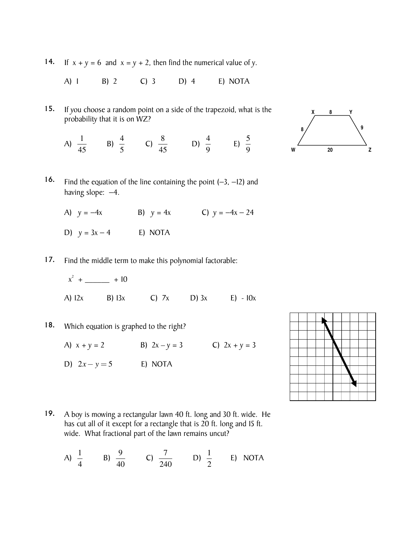14. If  $x + y = 6$  and  $x = y + 2$ , then find the numerical value of y.

A) 1 B) 2 C) 3 D) 4 E) NOTA

15. If you choose a random point on a side of the trapezoid, what is the probability that it is on WZ?

A) 
$$
\frac{1}{45}
$$
 B)  $\frac{4}{5}$  C)  $\frac{8}{45}$  D)  $\frac{4}{9}$  E)  $\frac{5}{9}$ 



- 16. Find the equation of the line containing the point (−3, −12) and having slope:  $-4$ .
	- A)  $y = -4x$  B)  $y = 4x$  C)  $y = -4x 24$
	- D)  $y = 3x 4$  E) NOTA
- 17. Find the middle term to make this polynomial factorable:

$$
x^2 + \underline{\hspace{1cm}} + 10
$$

- A)  $12x$  B)  $13x$  C)  $7x$  D)  $3x$  E)  $10x$
- 18. Which equation is graphed to the right?

A)  $x + y = 2$  B)  $2x - y = 3$  C)  $2x + y = 3$ 

D)  $2x - y = 5$  **E)** NOTA



19. A boy is mowing a rectangular lawn 40 ft. long and 30 ft. wide. He has cut all of it except for a rectangle that is 20 ft. long and 15 ft. wide. What fractional part of the lawn remains uncut?

A) 
$$
\frac{1}{4}
$$
 B)  $\frac{9}{40}$  C)  $\frac{7}{240}$  D)  $\frac{1}{2}$  E) NOTA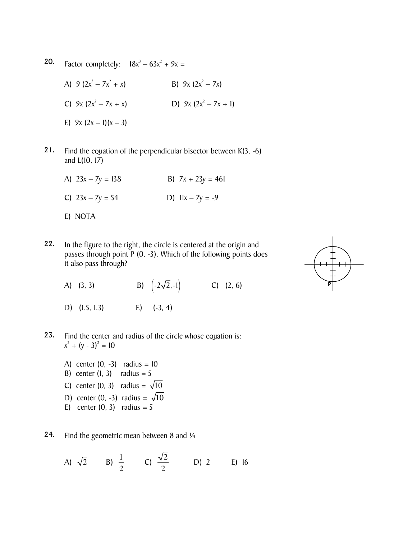**20.** Factor completely:  $18x^3 - 63x^2 + 9x =$ 

A) 9 ( $2x^3 - 7x^2$  $+ x$ ) B) 9x (2x<sup>2</sup> – 7x) C)  $9x (2x^2 - 7x + x)$  $-7x + x$ ) D)  $9x (2x^2 - 7x + 1)$ E)  $9x (2x - 1)(x - 3)$ 

- 21. Find the equation of the perpendicular bisector between K(3, -6) and L(10, 17)
	- A)  $23x 7y = 138$  B)  $7x + 23y = 461$ C)  $23x - 7y = 54$  D)  $11x - 7y = -9$ E) NOTA
- 22. In the figure to the right, the circle is centered at the origin and passes through point P (0, -3). Which of the following points does it also pass through?
	- A) (3, 3) B)  $(-2\sqrt{2},-1)$  C) (2, 6)
	- D) (1.5, 1.3) E) (-3, 4)



- A) center  $(0, -3)$  radius = 10 B) center  $(1, 3)$  radius = 5 C) center (0, 3) radius =  $\sqrt{10}$ D) center (0, -3) radius =  $\sqrt{10}$ E) center  $(0, 3)$  radius = 5
- 24. Find the geometric mean between 8 and  $\frac{1}{4}$

A) 
$$
\sqrt{2}
$$
 B)  $\frac{1}{2}$  C)  $\frac{\sqrt{2}}{2}$  D) 2 E) 16

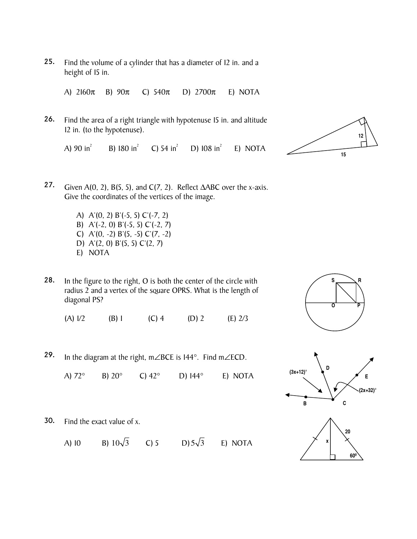25. Find the volume of a cylinder that has a diameter of 12 in. and a height of 15 in.

A) 2160π B) 90π C) 540π D) 2700π E) NOTA

26. Find the area of a right triangle with hypotenuse 15 in. and altitude 12 in. (to the hypotenuse).

A)  $90$  in<sup>2</sup> B) 180 in $^{2}$ C) 54 in $^{2}$ D)  $108 \text{ in}^2$ E) NOTA



- 27. Given A(0, 2), B(5, 5), and C(7, 2). Reflect  $\triangle$ ABC over the x-axis. Give the coordinates of the vertices of the image.
	- A) A'(0, 2) B'(-5, 5) C'(-7, 2) B) A'(-2, 0) B'(-5, 5) C'(-2, 7) C)  $A'(0, -2) B'(5, -5) C'(7, -2)$ D) A'(2, 0) B'(5, 5) C'(2, 7) E) NOTA
- 28. In the figure to the right, O is both the center of the circle with radius 2 and a vertex of the square OPRS. What is the length of diagonal PS?

(A)  $1/2$  (B) 1 (C) 4 (D) 2 (E)  $2/3$ 

29. In the diagram at the right, m∠BCE is 144°. Find m∠ECD.

A) 72° B) 20° C) 42° D) 144° E) NOTA





30. Find the exact value of x.

A) 10 B)  $10\sqrt{3}$  C) 5 D)  $5\sqrt{3}$  E) NOTA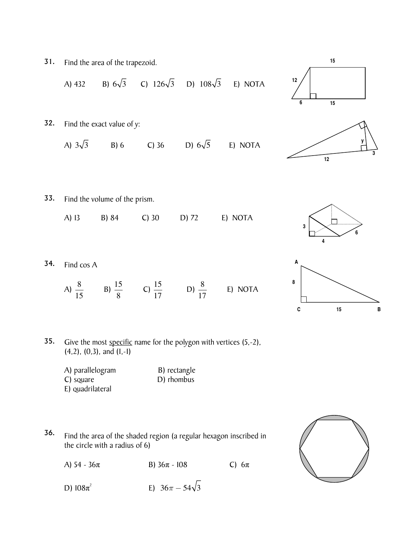

- 
- E) quadrilateral
- 36. Find the area of the shaded region (a regular hexagon inscribed in the circle with a radius of 6)

A) 54 - 36π B) 36π - 108 C) 6π

D)  $108π^2$ E)  $36\pi - 54\sqrt{3}$ 



**6**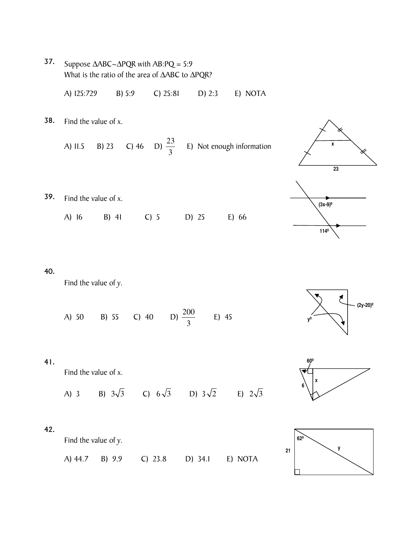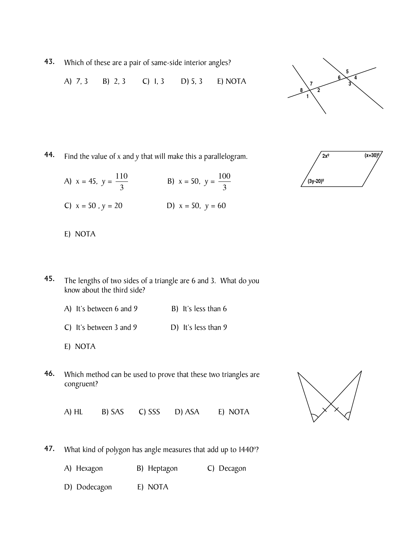43. Which of these are a pair of same-side interior angles?

A) 7, 3 B) 2, 3 C) 1, 3 D) 5, 3 E) NOTA



44. Find the value of x and y that will make this a parallelogram.

| A) $x = 45$ , $y = \frac{110}{3}$ | B) $x = 50$ , $y = \frac{100}{3}$ |
|-----------------------------------|-----------------------------------|
| C) $x = 50$ , $y = 20$            | D) $x = 50$ , $y = 60$            |



- E) NOTA
- 45. The lengths of two sides of a triangle are 6 and 3. What do you know about the third side?
	- A) It's between 6 and 9 B) It's less than 6
	- C) It's between 3 and 9 D) It's less than 9
	- E) NOTA
- 46. Which method can be used to prove that these two triangles are congruent?



A) HL B) SAS C) SSS D) ASA E) NOTA

- 47. What kind of polygon has angle measures that add up to 1440º?
	- A) Hexagon B) Heptagon C) Decagon
	- D) Dodecagon E) NOTA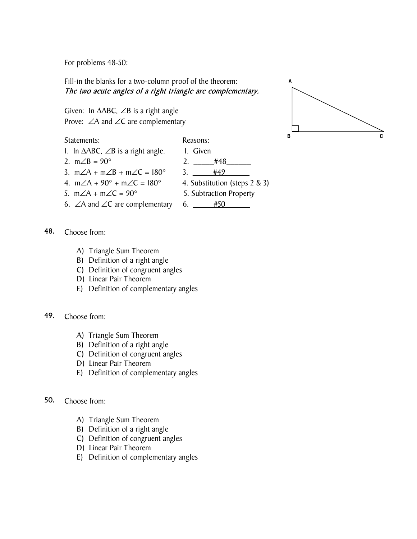For problems 48-50:

Fill-in the blanks for a two-column proof of the theorem: The two acute angles of a right triangle are complementary.

Given: In  $\triangle ABC$ ,  $\angle B$  is a right angle Prove: ∠A and ∠C are complementary

Statements: Reasons:

- 1. In  $ΔABC$ ,  $∠B$  is a right angle. 1. Given
- 
- 3. m∠A + m∠B + m∠C =  $180^{\circ}$  3. \_\_\_\_\_#49
- 4. m∠A +  $90^{\circ}$  + m∠C = 180° 4. Substitution (steps 2 & 3)
- 
- 6. ∠A and ∠C are complementary 6.  $\_\_\_$ #50



- 2.  $m∠B = 90°$  2.  $#48$ 
	-
- 5. m∠A + m∠C =  $90^{\circ}$  5. Subtraction Property
	-

- 48. Choose from:
	- A) Triangle Sum Theorem
	- B) Definition of a right angle
	- C) Definition of congruent angles
	- D) Linear Pair Theorem
	- E) Definition of complementary angles

49. Choose from:

- A) Triangle Sum Theorem
- B) Definition of a right angle
- C) Definition of congruent angles
- D) Linear Pair Theorem
- E) Definition of complementary angles

## 50. Choose from:

- A) Triangle Sum Theorem
- B) Definition of a right angle
- C) Definition of congruent angles
- D) Linear Pair Theorem
- E) Definition of complementary angles